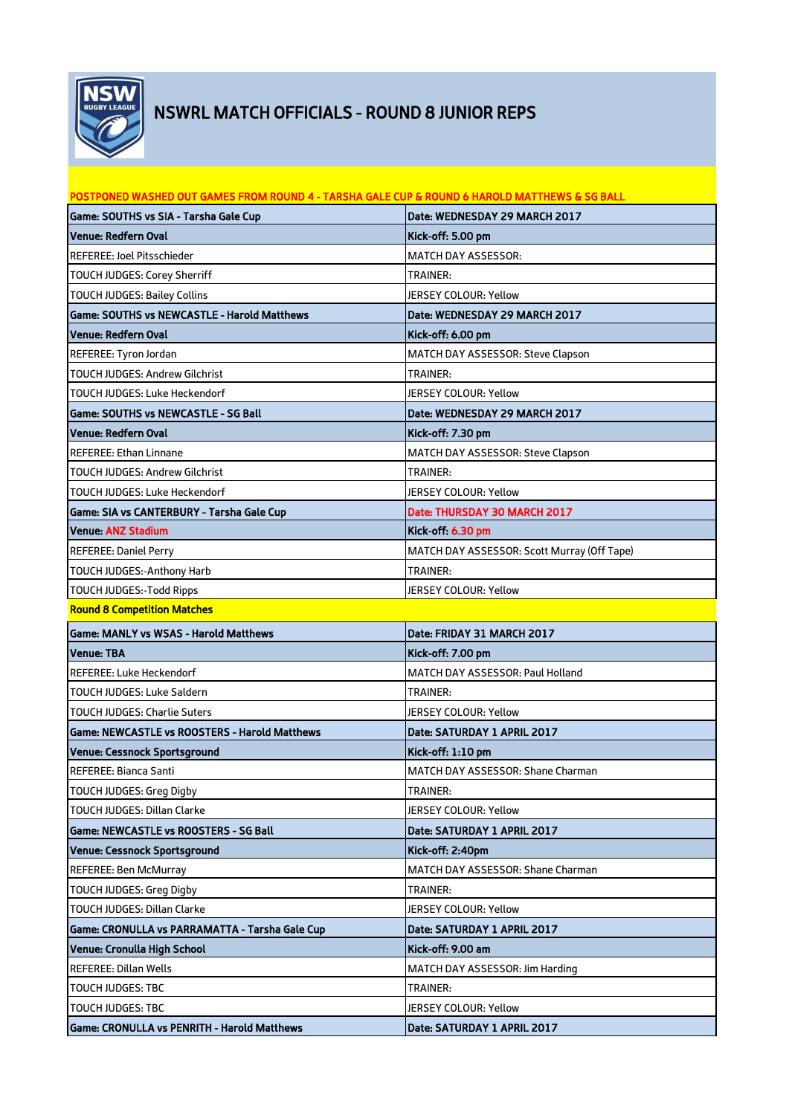

## NSWRL MATCH OFFICIALS - ROUND 8 JUNIOR REPS

| POSTPONED WASHED OUT GAMES FROM ROUND 4 - TARSHA GALE CUP & ROUND 6 HAROLD MATTHEWS & SG BALL |                                             |
|-----------------------------------------------------------------------------------------------|---------------------------------------------|
| Game: SOUTHS vs SIA - Tarsha Gale Cup                                                         | Date: WEDNESDAY 29 MARCH 2017               |
| Venue: Redfern Oval                                                                           | Kick-off: 5.00 pm                           |
| <b>REFEREE: Joel Pitsschieder</b>                                                             | <b>MATCH DAY ASSESSOR:</b>                  |
| TOUCH JUDGES: Corey Sherriff                                                                  | <b>TRAINER:</b>                             |
| TOUCH JUDGES: Bailey Collins                                                                  | <b>JERSEY COLOUR: Yellow</b>                |
| Game: SOUTHS vs NEWCASTLE - Harold Matthews                                                   | Date: WEDNESDAY 29 MARCH 2017               |
| Venue: Redfern Oval                                                                           | Kick-off: 6.00 pm                           |
| REFEREE: Tyron Jordan                                                                         | MATCH DAY ASSESSOR: Steve Clapson           |
| <b>TOUCH JUDGES: Andrew Gilchrist</b>                                                         | <b>TRAINER:</b>                             |
| TOUCH JUDGES: Luke Heckendorf                                                                 | JERSEY COLOUR: Yellow                       |
| Game: SOUTHS vs NEWCASTLE - SG Ball                                                           | Date: WEDNESDAY 29 MARCH 2017               |
| Venue: Redfern Oval                                                                           | Kick-off: 7.30 pm                           |
| <b>REFEREE: Ethan Linnane</b>                                                                 | MATCH DAY ASSESSOR: Steve Clapson           |
| TOUCH JUDGES: Andrew Gilchrist                                                                | TRAINER:                                    |
| TOUCH JUDGES: Luke Heckendorf                                                                 | JERSEY COLOUR: Yellow                       |
| Game: SIA vs CANTERBURY - Tarsha Gale Cup                                                     | Date: THURSDAY 30 MARCH 2017                |
| <b>Venue: ANZ Stadium</b>                                                                     | Kick-off: 6.30 pm                           |
| <b>REFEREE: Daniel Perry</b>                                                                  | MATCH DAY ASSESSOR: Scott Murray (Off Tape) |
| TOUCH JUDGES:-Anthony Harb                                                                    | TRAINER:                                    |
| TOUCH JUDGES:-Todd Ripps                                                                      | JERSEY COLOUR: Yellow                       |
| <b>Round 8 Competition Matches</b>                                                            |                                             |
| Game: MANLY vs WSAS - Harold Matthews                                                         | Date: FRIDAY 31 MARCH 2017                  |
| Venue: TBA                                                                                    | Kick-off: 7.00 pm                           |
| <b>REFEREE: Luke Heckendorf</b>                                                               | <b>MATCH DAY ASSESSOR: Paul Holland</b>     |
| TOUCH JUDGES: Luke Saldern                                                                    | <b>TRAINER:</b>                             |
| TOUCH JUDGES: Charlie Suters                                                                  | <b>JERSEY COLOUR: Yellow</b>                |
| Game: NEWCASTLE vs ROOSTERS - Harold Matthews                                                 | Date: SATURDAY 1 APRIL 2017                 |
| Venue: Cessnock Sportsground                                                                  | Kick-off: 1:10 pm                           |
| REFEREE: Bianca Santi                                                                         | MATCH DAY ASSESSOR: Shane Charman           |
| TOUCH JUDGES: Greg Digby                                                                      | <b>TRAINER:</b>                             |
| TOUCH JUDGES: Dillan Clarke                                                                   | JERSEY COLOUR: Yellow                       |
| Game: NEWCASTLE vs ROOSTERS - SG Ball                                                         | Date: SATURDAY 1 APRIL 2017                 |
| Venue: Cessnock Sportsground                                                                  | Kick-off: 2:40pm                            |
| <b>REFEREE: Ben McMurray</b>                                                                  | MATCH DAY ASSESSOR: Shane Charman           |
| TOUCH JUDGES: Greg Digby                                                                      | TRAINER:                                    |
| TOUCH JUDGES: Dillan Clarke                                                                   | JERSEY COLOUR: Yellow                       |
| Game: CRONULLA vs PARRAMATTA - Tarsha Gale Cup                                                | Date: SATURDAY 1 APRIL 2017                 |
| Venue: Cronulla High School                                                                   | Kick-off: 9.00 am                           |
| REFEREE: Dillan Wells                                                                         | MATCH DAY ASSESSOR: Jim Harding             |
| TOUCH JUDGES: TBC                                                                             | <b>TRAINER:</b>                             |
| TOUCH JUDGES: TBC                                                                             | JERSEY COLOUR: Yellow                       |
| Game: CRONULLA vs PENRITH - Harold Matthews                                                   | Date: SATURDAY 1 APRIL 2017                 |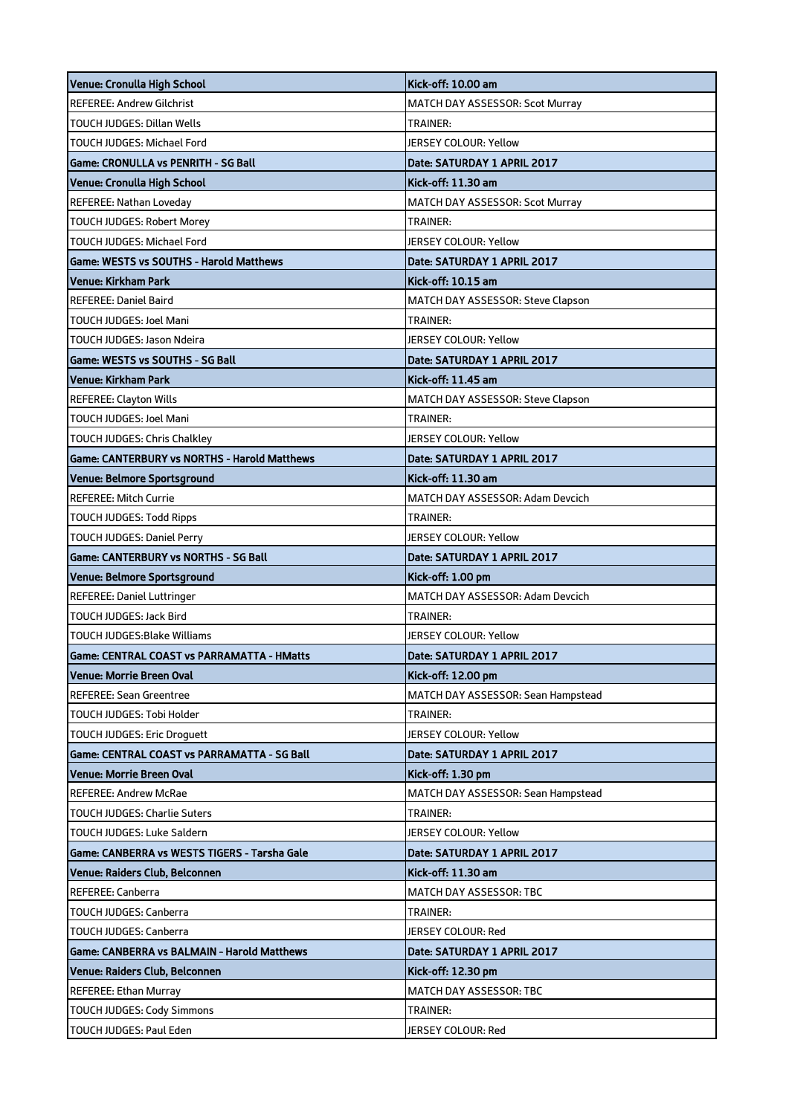| Venue: Cronulla High School                           | Kick-off: 10.00 am                 |
|-------------------------------------------------------|------------------------------------|
| <b>REFEREE: Andrew Gilchrist</b>                      | MATCH DAY ASSESSOR: Scot Murray    |
| <b>TOUCH JUDGES: Dillan Wells</b>                     | <b>TRAINER:</b>                    |
| TOUCH JUDGES: Michael Ford                            | <b>JERSEY COLOUR: Yellow</b>       |
| <b>Game: CRONULLA vs PENRITH - SG Ball</b>            | Date: SATURDAY 1 APRIL 2017        |
| Venue: Cronulla High School                           | Kick-off: 11.30 am                 |
| REFEREE: Nathan Loveday                               | MATCH DAY ASSESSOR: Scot Murray    |
| <b>TOUCH JUDGES: Robert Morey</b>                     | <b>TRAINER:</b>                    |
| TOUCH JUDGES: Michael Ford                            | <b>JERSEY COLOUR: Yellow</b>       |
| Game: WESTS vs SOUTHS - Harold Matthews               | <b>Date: SATURDAY 1 APRIL 2017</b> |
| <b>Venue: Kirkham Park</b>                            | Kick-off: 10.15 am                 |
| REFEREE: Daniel Baird                                 | MATCH DAY ASSESSOR: Steve Clapson  |
| TOUCH JUDGES: Joel Mani                               | <b>TRAINER:</b>                    |
| TOUCH JUDGES: Jason Ndeira                            | <b>JERSEY COLOUR: Yellow</b>       |
| <b>Game: WESTS vs SOUTHS - SG Ball</b>                | Date: SATURDAY 1 APRIL 2017        |
| Venue: Kirkham Park                                   | Kick-off: 11.45 am                 |
| <b>REFEREE: Clayton Wills</b>                         | MATCH DAY ASSESSOR: Steve Clapson  |
| TOUCH JUDGES: Joel Mani                               | <b>TRAINER:</b>                    |
| TOUCH JUDGES: Chris Chalkley                          | JERSEY COLOUR: Yellow              |
| Game: CANTERBURY vs NORTHS - Harold Matthews          | Date: SATURDAY 1 APRIL 2017        |
| Venue: Belmore Sportsground                           | Kick-off: 11.30 am                 |
| <b>REFEREE: Mitch Currie</b>                          | MATCH DAY ASSESSOR: Adam Devcich   |
| TOUCH JUDGES: Todd Ripps                              | TRAINER:                           |
| <b>TOUCH JUDGES: Daniel Perry</b>                     | <b>JERSEY COLOUR: Yellow</b>       |
|                                                       |                                    |
| <b>Game: CANTERBURY vs NORTHS - SG Ball</b>           | Date: SATURDAY 1 APRIL 2017        |
| Venue: Belmore Sportsground                           | Kick-off: 1.00 pm                  |
| REFEREE: Daniel Luttringer                            | MATCH DAY ASSESSOR: Adam Devcich   |
| TOUCH JUDGES: Jack Bird                               | <b>TRAINER:</b>                    |
| TOUCH JUDGES:Blake Williams                           | JERSEY COLOUR: Yellow              |
| <b>Game: CENTRAL COAST vs PARRAMATTA - HMatts</b>     | Date: SATURDAY 1 APRIL 2017        |
| Venue: Morrie Breen Oval                              | Kick-off: 12.00 pm                 |
| REFEREE: Sean Greentree                               | MATCH DAY ASSESSOR: Sean Hampstead |
| TOUCH JUDGES: Tobi Holder                             | <b>TRAINER:</b>                    |
| TOUCH JUDGES: Eric Droguett                           | JERSEY COLOUR: Yellow              |
| <b>Game: CENTRAL COAST vs PARRAMATTA - SG Ball</b>    | Date: SATURDAY 1 APRIL 2017        |
| Venue: Morrie Breen Oval                              | Kick-off: 1.30 pm                  |
| REFEREE: Andrew McRae                                 | MATCH DAY ASSESSOR: Sean Hampstead |
| <b>TOUCH JUDGES: Charlie Suters</b>                   | TRAINER:                           |
| TOUCH JUDGES: Luke Saldern                            | JERSEY COLOUR: Yellow              |
| Game: CANBERRA vs WESTS TIGERS - Tarsha Gale          | <b>Date: SATURDAY 1 APRIL 2017</b> |
| Venue: Raiders Club, Belconnen                        | Kick-off: 11.30 am                 |
| <b>REFEREE: Canberra</b>                              | MATCH DAY ASSESSOR: TBC            |
| TOUCH JUDGES: Canberra                                | <b>TRAINER:</b>                    |
| TOUCH JUDGES: Canberra                                | JERSEY COLOUR: Red                 |
| Game: CANBERRA vs BALMAIN - Harold Matthews           | Date: SATURDAY 1 APRIL 2017        |
| Venue: Raiders Club, Belconnen                        | Kick-off: 12.30 pm                 |
| REFEREE: Ethan Murray                                 | MATCH DAY ASSESSOR: TBC            |
| TOUCH JUDGES: Cody Simmons<br>TOUCH JUDGES: Paul Eden | TRAINER:<br>JERSEY COLOUR: Red     |